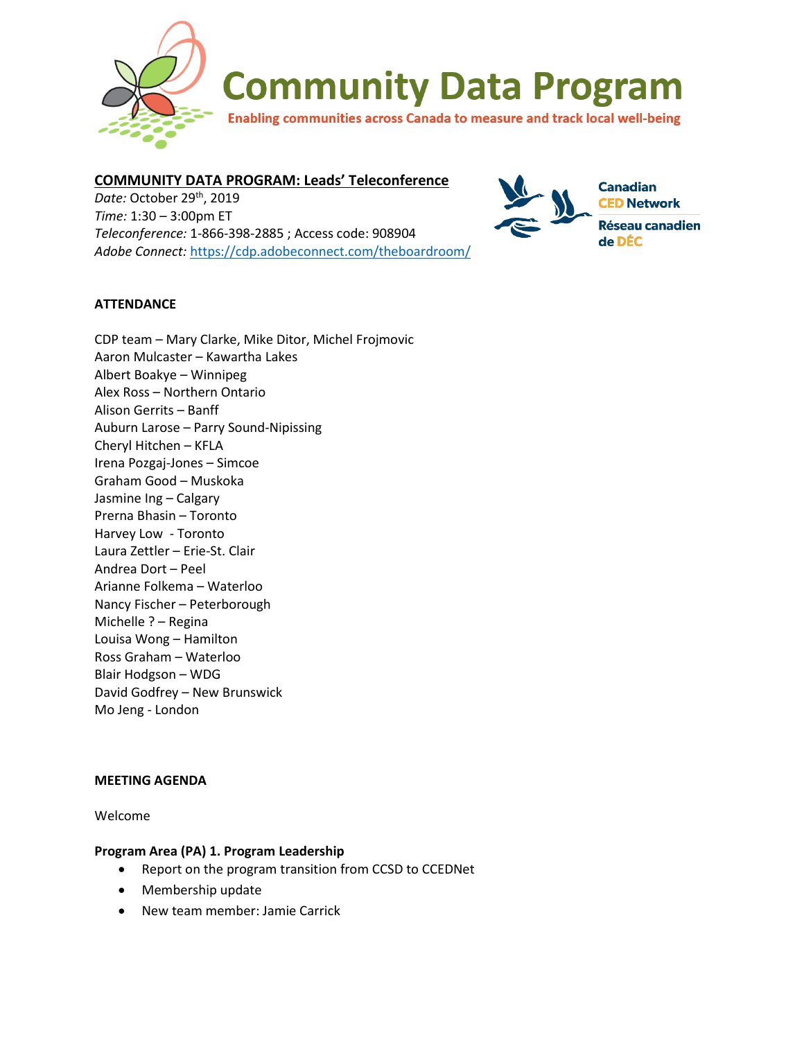

# **COMMUNITY DATA PROGRAM: Leads' Teleconference**

*Date:* October 29th, 2019 *Time:* 1:30 – 3:00pm ET *Teleconference:* 1-866-398-2885 ; Access code: 908904 *Adobe Connect:* <https://cdp.adobeconnect.com/theboardroom/>



## **ATTENDANCE**

| CDP team - Mary Clarke, Mike Ditor, Michel Frojmovic<br>Aaron Mulcaster - Kawartha Lakes<br>Albert Boakye - Winnipeg |
|----------------------------------------------------------------------------------------------------------------------|
| Alex Ross - Northern Ontario                                                                                         |
| Alison Gerrits – Banff                                                                                               |
| Auburn Larose - Parry Sound-Nipissing                                                                                |
| Cheryl Hitchen - KFLA                                                                                                |
| Irena Pozgaj-Jones - Simcoe                                                                                          |
| Graham Good - Muskoka                                                                                                |
| Jasmine Ing - Calgary                                                                                                |
| Prerna Bhasin - Toronto                                                                                              |
| Harvey Low - Toronto                                                                                                 |
| Laura Zettler - Erie-St. Clair                                                                                       |
| Andrea Dort - Peel                                                                                                   |
| Arianne Folkema - Waterloo                                                                                           |
| Nancy Fischer - Peterborough                                                                                         |
| Michelle ? - Regina                                                                                                  |
| Louisa Wong - Hamilton                                                                                               |
| Ross Graham - Waterloo                                                                                               |
| Blair Hodgson - WDG                                                                                                  |
| David Godfrey - New Brunswick                                                                                        |
| Mo Jeng - London                                                                                                     |
|                                                                                                                      |

#### **MEETING AGENDA**

Welcome

#### **Program Area (PA) 1. Program Leadership**

- Report on the program transition from CCSD to CCEDNet
- Membership update
- New team member: Jamie Carrick